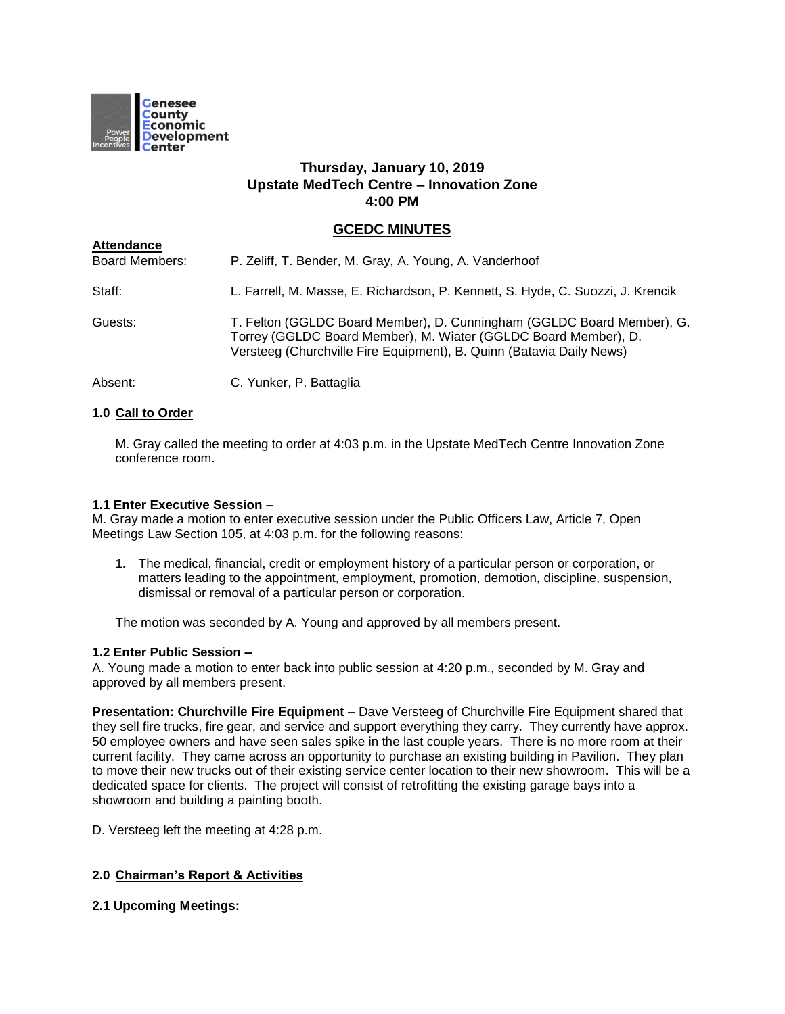

# **Thursday, January 10, 2019 Upstate MedTech Centre – Innovation Zone 4:00 PM**

# **GCEDC MINUTES**

| Attendance<br>Board Members: | P. Zeliff, T. Bender, M. Gray, A. Young, A. Vanderhoof                                                                                                                                                            |
|------------------------------|-------------------------------------------------------------------------------------------------------------------------------------------------------------------------------------------------------------------|
| Staff:                       | L. Farrell, M. Masse, E. Richardson, P. Kennett, S. Hyde, C. Suozzi, J. Krencik                                                                                                                                   |
| Guests:                      | T. Felton (GGLDC Board Member), D. Cunningham (GGLDC Board Member), G.<br>Torrey (GGLDC Board Member), M. Wiater (GGLDC Board Member), D.<br>Versteeg (Churchville Fire Equipment), B. Quinn (Batavia Daily News) |
| Absent:                      | C. Yunker, P. Battaglia                                                                                                                                                                                           |

# **1.0 Call to Order**

**Attendance**

M. Gray called the meeting to order at 4:03 p.m. in the Upstate MedTech Centre Innovation Zone conference room.

#### **1.1 Enter Executive Session –**

M. Gray made a motion to enter executive session under the Public Officers Law, Article 7, Open Meetings Law Section 105, at 4:03 p.m. for the following reasons:

1. The medical, financial, credit or employment history of a particular person or corporation, or matters leading to the appointment, employment, promotion, demotion, discipline, suspension, dismissal or removal of a particular person or corporation.

The motion was seconded by A. Young and approved by all members present.

#### **1.2 Enter Public Session –**

A. Young made a motion to enter back into public session at 4:20 p.m., seconded by M. Gray and approved by all members present.

**Presentation: Churchville Fire Equipment –** Dave Versteeg of Churchville Fire Equipment shared that they sell fire trucks, fire gear, and service and support everything they carry. They currently have approx. 50 employee owners and have seen sales spike in the last couple years. There is no more room at their current facility. They came across an opportunity to purchase an existing building in Pavilion. They plan to move their new trucks out of their existing service center location to their new showroom. This will be a dedicated space for clients. The project will consist of retrofitting the existing garage bays into a showroom and building a painting booth.

D. Versteeg left the meeting at 4:28 p.m.

#### **2.0 Chairman's Report & Activities**

**2.1 Upcoming Meetings:**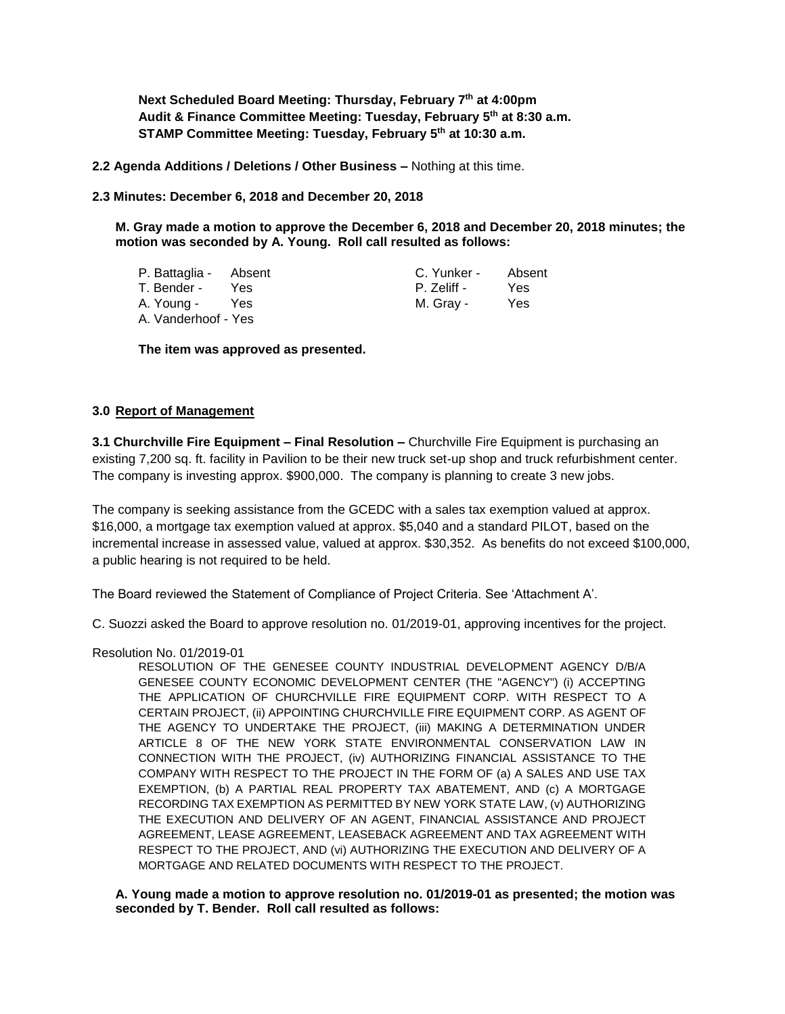**Next Scheduled Board Meeting: Thursday, February 7th at 4:00pm Audit & Finance Committee Meeting: Tuesday, February 5th at 8:30 a.m. STAMP Committee Meeting: Tuesday, February 5th at 10:30 a.m.**

**2.2 Agenda Additions / Deletions / Other Business –** Nothing at this time.

**2.3 Minutes: December 6, 2018 and December 20, 2018**

**M. Gray made a motion to approve the December 6, 2018 and December 20, 2018 minutes; the motion was seconded by A. Young. Roll call resulted as follows:**

| P. Battaglia - Absent |     | C. Yunker - | Absent |
|-----------------------|-----|-------------|--------|
| T. Bender -           | Yes | P. Zeliff - | Yes    |
| A. Young -            | Yes | M. Gray -   | Yes    |
| A. Vanderhoof - Yes   |     |             |        |

**The item was approved as presented.**

#### **3.0 Report of Management**

**3.1 Churchville Fire Equipment – Final Resolution –** Churchville Fire Equipment is purchasing an existing 7,200 sq. ft. facility in Pavilion to be their new truck set-up shop and truck refurbishment center. The company is investing approx. \$900,000. The company is planning to create 3 new jobs.

The company is seeking assistance from the GCEDC with a sales tax exemption valued at approx. \$16,000, a mortgage tax exemption valued at approx. \$5,040 and a standard PILOT, based on the incremental increase in assessed value, valued at approx. \$30,352. As benefits do not exceed \$100,000, a public hearing is not required to be held.

The Board reviewed the Statement of Compliance of Project Criteria. See 'Attachment A'.

C. Suozzi asked the Board to approve resolution no. 01/2019-01, approving incentives for the project.

Resolution No. 01/2019-01

RESOLUTION OF THE GENESEE COUNTY INDUSTRIAL DEVELOPMENT AGENCY D/B/A GENESEE COUNTY ECONOMIC DEVELOPMENT CENTER (THE "AGENCY") (i) ACCEPTING THE APPLICATION OF CHURCHVILLE FIRE EQUIPMENT CORP. WITH RESPECT TO A CERTAIN PROJECT, (ii) APPOINTING CHURCHVILLE FIRE EQUIPMENT CORP. AS AGENT OF THE AGENCY TO UNDERTAKE THE PROJECT, (iii) MAKING A DETERMINATION UNDER ARTICLE 8 OF THE NEW YORK STATE ENVIRONMENTAL CONSERVATION LAW IN CONNECTION WITH THE PROJECT, (iv) AUTHORIZING FINANCIAL ASSISTANCE TO THE COMPANY WITH RESPECT TO THE PROJECT IN THE FORM OF (a) A SALES AND USE TAX EXEMPTION, (b) A PARTIAL REAL PROPERTY TAX ABATEMENT, AND (c) A MORTGAGE RECORDING TAX EXEMPTION AS PERMITTED BY NEW YORK STATE LAW, (v) AUTHORIZING THE EXECUTION AND DELIVERY OF AN AGENT, FINANCIAL ASSISTANCE AND PROJECT AGREEMENT, LEASE AGREEMENT, LEASEBACK AGREEMENT AND TAX AGREEMENT WITH RESPECT TO THE PROJECT, AND (vi) AUTHORIZING THE EXECUTION AND DELIVERY OF A MORTGAGE AND RELATED DOCUMENTS WITH RESPECT TO THE PROJECT.

**A. Young made a motion to approve resolution no. 01/2019-01 as presented; the motion was seconded by T. Bender. Roll call resulted as follows:**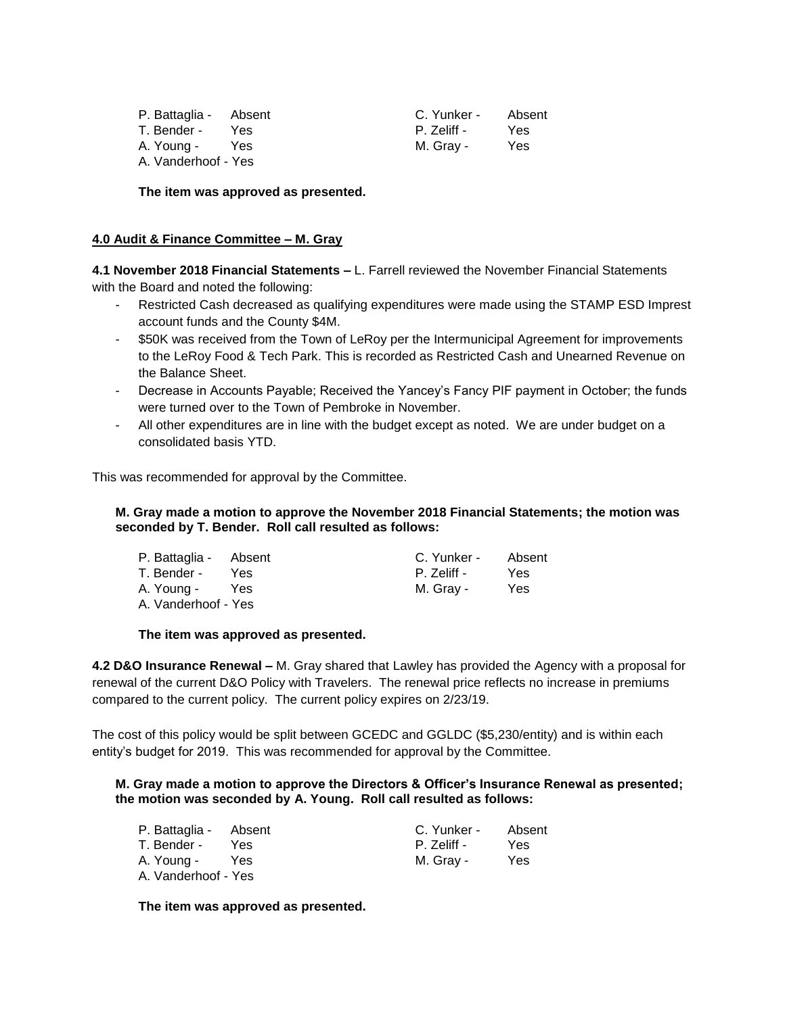| P. Battaglia - Absent |            | C. Yunker - | Absent |
|-----------------------|------------|-------------|--------|
| T. Bender -           | Yes.       | P. Zeliff - | Yes    |
| A. Young -            | <b>Yes</b> | M. Grav -   | Yes    |
| A. Vanderhoof - Yes   |            |             |        |

**The item was approved as presented.**

### **4.0 Audit & Finance Committee – M. Gray**

**4.1 November 2018 Financial Statements –** L. Farrell reviewed the November Financial Statements with the Board and noted the following:

- Restricted Cash decreased as qualifying expenditures were made using the STAMP ESD Imprest account funds and the County \$4M.
- \$50K was received from the Town of LeRoy per the Intermunicipal Agreement for improvements to the LeRoy Food & Tech Park. This is recorded as Restricted Cash and Unearned Revenue on the Balance Sheet.
- Decrease in Accounts Payable; Received the Yancey's Fancy PIF payment in October; the funds were turned over to the Town of Pembroke in November.
- All other expenditures are in line with the budget except as noted. We are under budget on a consolidated basis YTD.

This was recommended for approval by the Committee.

# **M. Gray made a motion to approve the November 2018 Financial Statements; the motion was seconded by T. Bender. Roll call resulted as follows:**

| P. Battaglia - Absent |      | C. Yunker - | Absent     |
|-----------------------|------|-------------|------------|
| T. Bender -           | Yes. | P. Zeliff - | Yes        |
| A. Young -            | Yes  | M. Grav -   | <b>Yes</b> |
| A. Vanderhoof - Yes   |      |             |            |

#### **The item was approved as presented.**

**4.2 D&O Insurance Renewal –** M. Gray shared that Lawley has provided the Agency with a proposal for renewal of the current D&O Policy with Travelers. The renewal price reflects no increase in premiums compared to the current policy. The current policy expires on 2/23/19.

The cost of this policy would be split between GCEDC and GGLDC (\$5,230/entity) and is within each entity's budget for 2019. This was recommended for approval by the Committee.

**M. Gray made a motion to approve the Directors & Officer's Insurance Renewal as presented; the motion was seconded by A. Young. Roll call resulted as follows:**

| P. Battaglia - Absent |      | C. Yunker - | Absent |
|-----------------------|------|-------------|--------|
| T. Bender -           | Yes. | P. Zeliff - | Yes    |
| A. Young -            | Yes  | M. Grav -   | Yes    |
| A Vanderhoof - Yes    |      |             |        |

**The item was approved as presented.**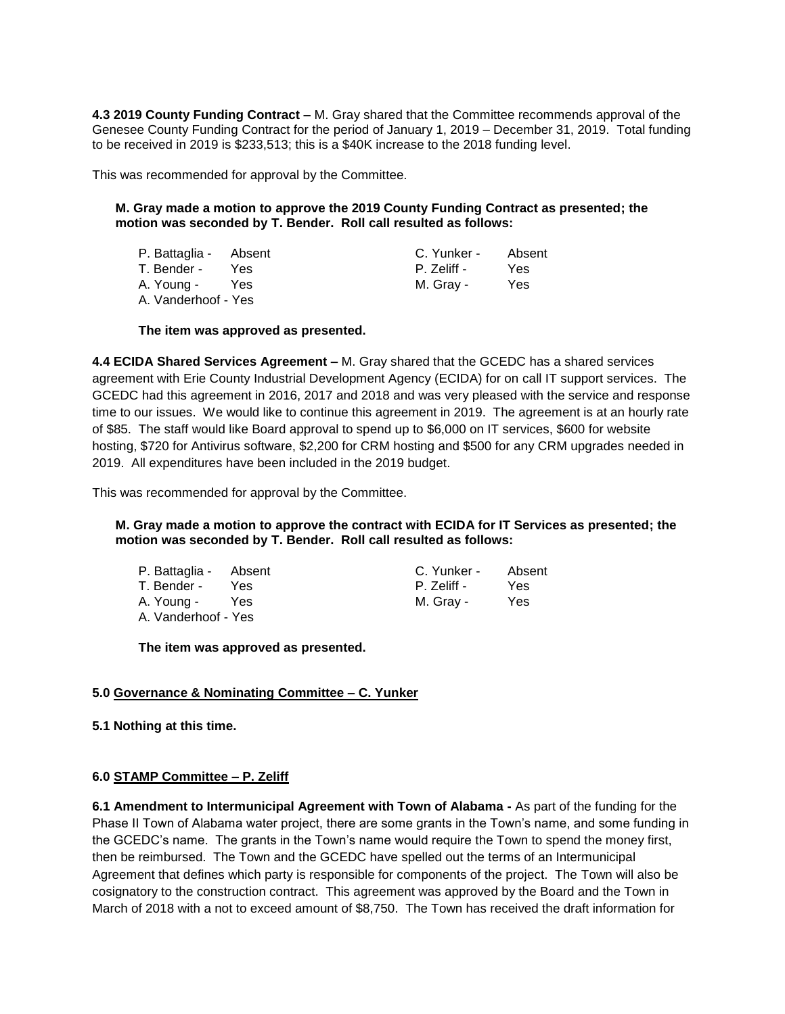**4.3 2019 County Funding Contract –** M. Gray shared that the Committee recommends approval of the Genesee County Funding Contract for the period of January 1, 2019 – December 31, 2019. Total funding to be received in 2019 is \$233,513; this is a \$40K increase to the 2018 funding level.

This was recommended for approval by the Committee.

# **M. Gray made a motion to approve the 2019 County Funding Contract as presented; the motion was seconded by T. Bender. Roll call resulted as follows:**

| P. Battaglia - Absent |     | C. Yunker - | Absent |
|-----------------------|-----|-------------|--------|
| T. Bender -           | Yes | P. Zeliff - | Yes    |
| A. Young - Yes        |     | M. Grav -   | Yes    |
| A. Vanderhoof - Yes   |     |             |        |

# **The item was approved as presented.**

**4.4 ECIDA Shared Services Agreement –** M. Gray shared that the GCEDC has a shared services agreement with Erie County Industrial Development Agency (ECIDA) for on call IT support services. The GCEDC had this agreement in 2016, 2017 and 2018 and was very pleased with the service and response time to our issues. We would like to continue this agreement in 2019. The agreement is at an hourly rate of \$85. The staff would like Board approval to spend up to \$6,000 on IT services, \$600 for website hosting, \$720 for Antivirus software, \$2,200 for CRM hosting and \$500 for any CRM upgrades needed in 2019. All expenditures have been included in the 2019 budget.

This was recommended for approval by the Committee.

#### **M. Gray made a motion to approve the contract with ECIDA for IT Services as presented; the motion was seconded by T. Bender. Roll call resulted as follows:**

| P. Battaglia - Absent |     | C. Yunker - | Absent |
|-----------------------|-----|-------------|--------|
| T. Bender -           | Yes | P. Zeliff - | Yes    |
| A. Young -            | Yes | M. Gray -   | Yes    |
| A. Vanderhoof - Yes   |     |             |        |

**The item was approved as presented.**

# **5.0 Governance & Nominating Committee – C. Yunker**

**5.1 Nothing at this time.**

#### **6.0 STAMP Committee – P. Zeliff**

**6.1 Amendment to Intermunicipal Agreement with Town of Alabama -** As part of the funding for the Phase II Town of Alabama water project, there are some grants in the Town's name, and some funding in the GCEDC's name. The grants in the Town's name would require the Town to spend the money first, then be reimbursed. The Town and the GCEDC have spelled out the terms of an Intermunicipal Agreement that defines which party is responsible for components of the project. The Town will also be cosignatory to the construction contract. This agreement was approved by the Board and the Town in March of 2018 with a not to exceed amount of \$8,750. The Town has received the draft information for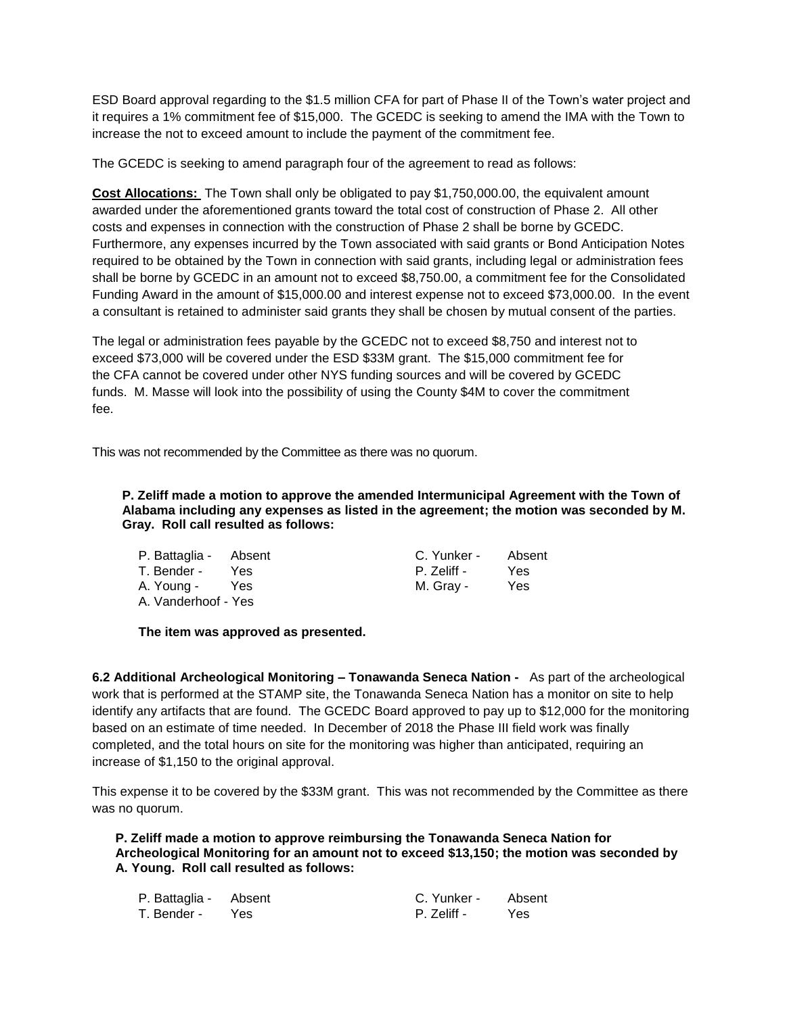ESD Board approval regarding to the \$1.5 million CFA for part of Phase II of the Town's water project and it requires a 1% commitment fee of \$15,000. The GCEDC is seeking to amend the IMA with the Town to increase the not to exceed amount to include the payment of the commitment fee.

The GCEDC is seeking to amend paragraph four of the agreement to read as follows:

**Cost Allocations:** The Town shall only be obligated to pay \$1,750,000.00, the equivalent amount awarded under the aforementioned grants toward the total cost of construction of Phase 2. All other costs and expenses in connection with the construction of Phase 2 shall be borne by GCEDC. Furthermore, any expenses incurred by the Town associated with said grants or Bond Anticipation Notes required to be obtained by the Town in connection with said grants, including legal or administration fees shall be borne by GCEDC in an amount not to exceed \$8,750.00, a commitment fee for the Consolidated Funding Award in the amount of \$15,000.00 and interest expense not to exceed \$73,000.00. In the event a consultant is retained to administer said grants they shall be chosen by mutual consent of the parties.

The legal or administration fees payable by the GCEDC not to exceed \$8,750 and interest not to exceed \$73,000 will be covered under the ESD \$33M grant. The \$15,000 commitment fee for the CFA cannot be covered under other NYS funding sources and will be covered by GCEDC funds. M. Masse will look into the possibility of using the County \$4M to cover the commitment fee.

This was not recommended by the Committee as there was no quorum.

**P. Zeliff made a motion to approve the amended Intermunicipal Agreement with the Town of Alabama including any expenses as listed in the agreement; the motion was seconded by M. Gray. Roll call resulted as follows:**

| P. Battaglia - Absent |            | C. Yunker - | Absent |
|-----------------------|------------|-------------|--------|
| T. Bender -           | Yes.       | P. Zeliff - | Yes    |
| A. Young -            | <b>Yes</b> | M. Gray -   | Yes    |
| A Vanderhoof - Yes    |            |             |        |

**The item was approved as presented.**

**6.2 Additional Archeological Monitoring – Tonawanda Seneca Nation -** As part of the archeological work that is performed at the STAMP site, the Tonawanda Seneca Nation has a monitor on site to help identify any artifacts that are found. The GCEDC Board approved to pay up to \$12,000 for the monitoring based on an estimate of time needed. In December of 2018 the Phase III field work was finally completed, and the total hours on site for the monitoring was higher than anticipated, requiring an increase of \$1,150 to the original approval.

This expense it to be covered by the \$33M grant. This was not recommended by the Committee as there was no quorum.

**P. Zeliff made a motion to approve reimbursing the Tonawanda Seneca Nation for Archeological Monitoring for an amount not to exceed \$13,150; the motion was seconded by A. Young. Roll call resulted as follows:**

| P. Battaglia - Absent |       | C. Yunker - | Absent |
|-----------------------|-------|-------------|--------|
| T. Bender -           | Yes Y | P. Zeliff - | Yes.   |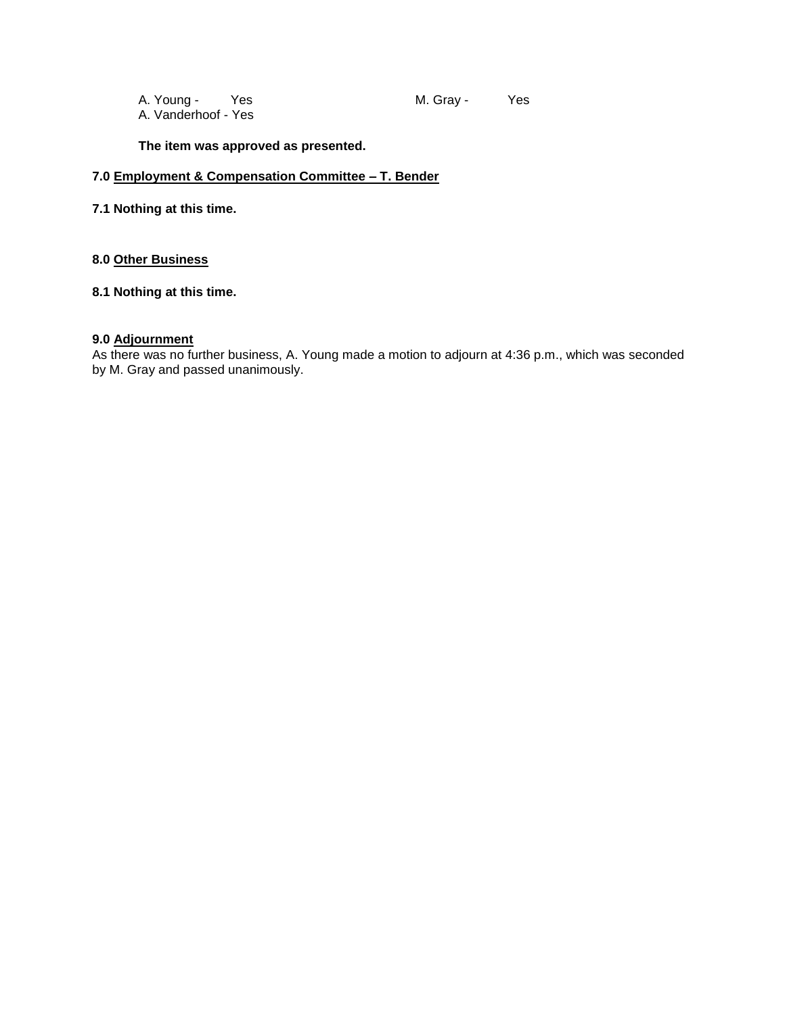A. Young - Yes M. Gray - Yes A. Vanderhoof - Yes

**The item was approved as presented.**

# **7.0 Employment & Compensation Committee – T. Bender**

# **7.1 Nothing at this time.**

# **8.0 Other Business**

# **8.1 Nothing at this time.**

# **9.0 Adjournment**

As there was no further business, A. Young made a motion to adjourn at 4:36 p.m., which was seconded by M. Gray and passed unanimously.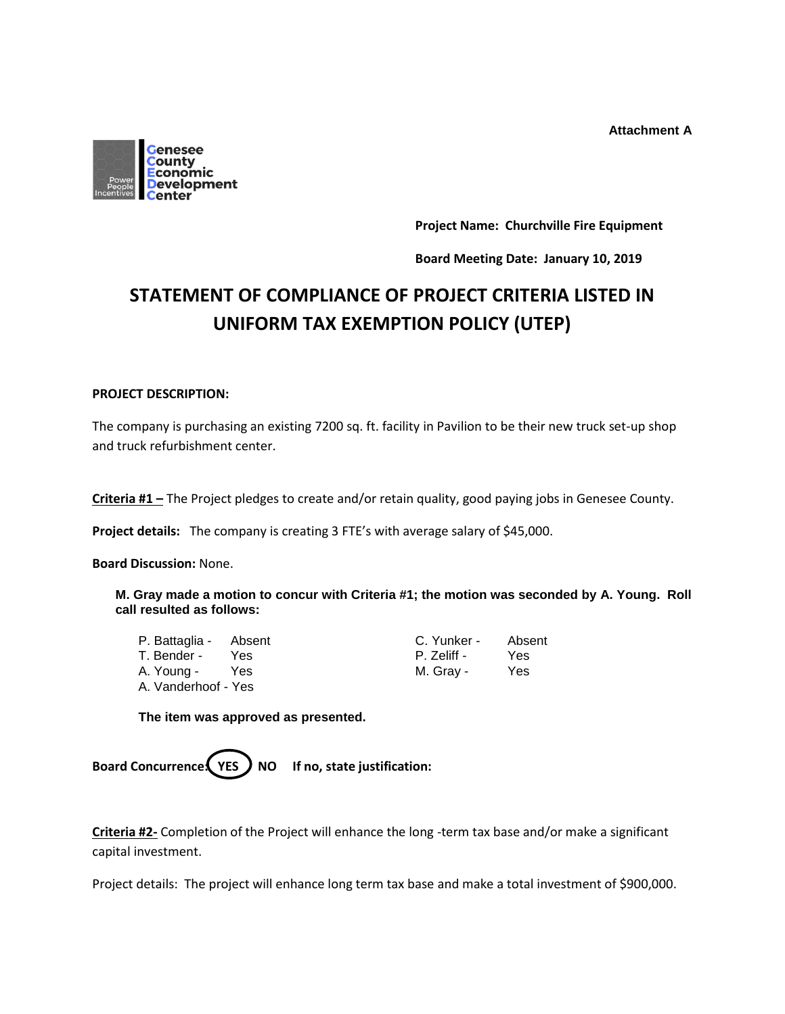**Attachment A**



**Project Name: Churchville Fire Equipment**

**Board Meeting Date: January 10, 2019**

# **STATEMENT OF COMPLIANCE OF PROJECT CRITERIA LISTED IN UNIFORM TAX EXEMPTION POLICY (UTEP)**

# **PROJECT DESCRIPTION:**

The company is purchasing an existing 7200 sq. ft. facility in Pavilion to be their new truck set-up shop and truck refurbishment center.

**Criteria #1 –** The Project pledges to create and/or retain quality, good paying jobs in Genesee County.

**Project details:** The company is creating 3 FTE's with average salary of \$45,000.

**Board Discussion:** None.

**M. Gray made a motion to concur with Criteria #1; the motion was seconded by A. Young. Roll call resulted as follows:**

| P. Battaglia - Absent |     | C. Yunker - | Abs |
|-----------------------|-----|-------------|-----|
| T. Bender -           | Yes | P. Zeliff - | Yes |
| A. Young -            | Yes | M. Gray -   | Yes |
| A. Vanderhoof - Yes   |     |             |     |

| P. Battaglia - Absent |      | C. Yunker - | Absent |
|-----------------------|------|-------------|--------|
| T. Bender -           | Yes. | P. Zeliff - | Yes    |
| A. Young -            | Yes  | M. Grav -   | Yes    |

**The item was approved as presented.**

Board Concurrence (YES ) NO If no, state justification:

**Criteria #2-** Completion of the Project will enhance the long -term tax base and/or make a significant capital investment.

Project details: The project will enhance long term tax base and make a total investment of \$900,000.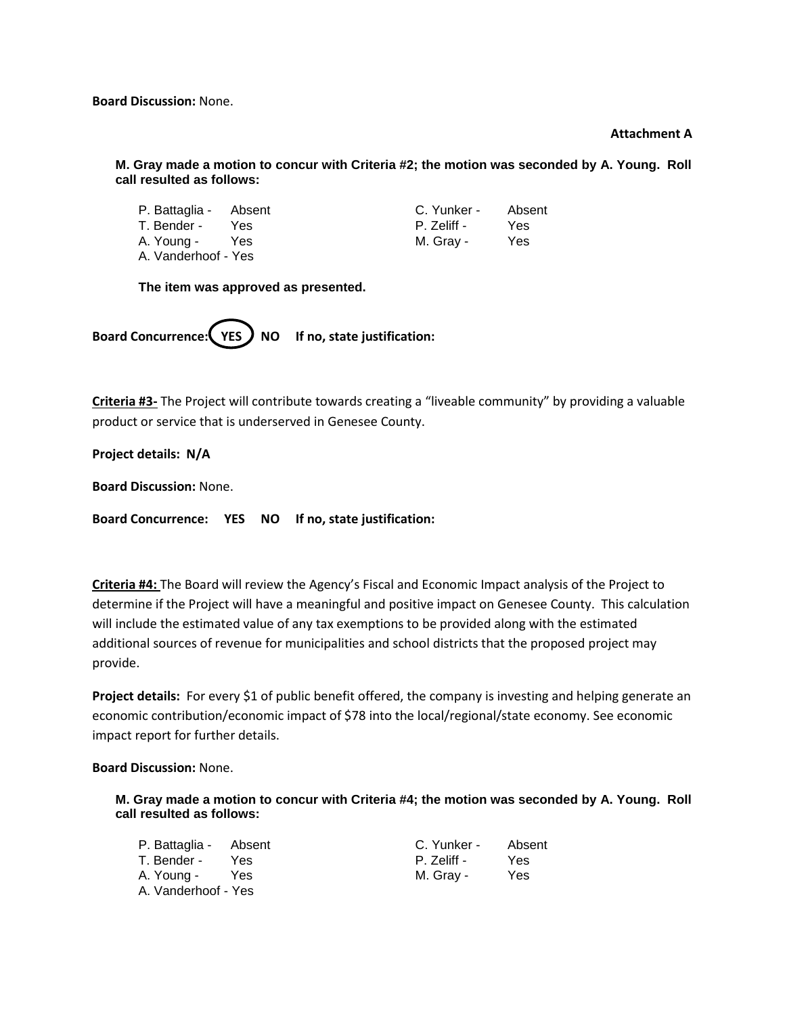**Board Discussion:** None.

#### **Attachment A**

**M. Gray made a motion to concur with Criteria #2; the motion was seconded by A. Young. Roll call resulted as follows:**

| P. Battaglia - Absent |      | C. Yunker - | Absent |
|-----------------------|------|-------------|--------|
| T. Bender -           | Yes. | P. Zeliff - | Yes    |
| A. Young -            | Yes  | M. Gray -   | Yes    |
| A. Vanderhoof - Yes   |      |             |        |

**The item was approved as presented.**

Board Concurrence: **YES** ) NO If no, state justification:

**Criteria #3-** The Project will contribute towards creating a "liveable community" by providing a valuable product or service that is underserved in Genesee County.

**Project details: N/A**

**Board Discussion:** None.

**Board Concurrence: YES NO If no, state justification:**

**Criteria #4:** The Board will review the Agency's Fiscal and Economic Impact analysis of the Project to determine if the Project will have a meaningful and positive impact on Genesee County. This calculation will include the estimated value of any tax exemptions to be provided along with the estimated additional sources of revenue for municipalities and school districts that the proposed project may provide.

**Project details:** For every \$1 of public benefit offered, the company is investing and helping generate an economic contribution/economic impact of \$78 into the local/regional/state economy. See economic impact report for further details.

**Board Discussion:** None.

**M. Gray made a motion to concur with Criteria #4; the motion was seconded by A. Young. Roll call resulted as follows:**

| P. Battaglia - Absent |      | C. Yunker - | Absent |
|-----------------------|------|-------------|--------|
| T. Bender -           | Yes. | P. Zeliff - | Yes    |
| A. Young -            | Yes  | M. Gray -   | Yes    |
| A. Vanderhoof - Yes   |      |             |        |

| C. Yunker - | Absent |
|-------------|--------|
| P. Zeliff - | Yes    |
| M. Gray -   | Yes    |